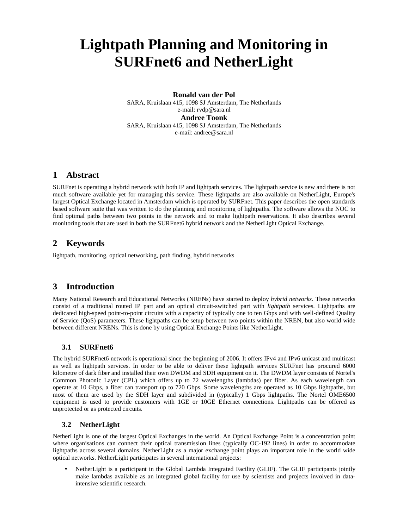# **Lightpath Planning and Monitoring in SURFnet6 and NetherLight**

**Ronald van der Pol**  SARA, Kruislaan 415, 1098 SJ Amsterdam, The Netherlands e-mail: rvdp@sara.nl **Andree Toonk**  SARA, Kruislaan 415, 1098 SJ Amsterdam, The Netherlands e-mail: andree@sara.nl

#### **1 Abstract**

SURFnet is operating a hybrid network with both IP and lightpath services. The lightpath service is new and there is not much software available yet for managing this service. These lightpaths are also available on NetherLight, Europe's largest Optical Exchange located in Amsterdam which is operated by SURFnet. This paper describes the open standards based software suite that was written to do the planning and monitoring of lightpaths. The software allows the NOC to find optimal paths between two points in the network and to make lightpath reservations. It also describes several monitoring tools that are used in both the SURFnet6 hybrid network and the NetherLight Optical Exchange.

## **2 Keywords**

lightpath, monitoring, optical networking, path finding, hybrid networks

## **3 Introduction**

Many National Research and Educational Networks (NRENs) have started to deploy *hybrid networks*. These networks consist of a traditional routed IP part and an optical circuit-switched part with *lightpath* services. Lightpaths are dedicated high-speed point-to-point circuits with a capacity of typically one to ten Gbps and with well-defined Quality of Service (QoS) parameters. These lightpaths can be setup between two points within the NREN, but also world wide between different NRENs. This is done by using Optical Exchange Points like NetherLight.

#### **3.1 SURFnet6**

The hybrid SURFnet6 network is operational since the beginning of 2006. It offers IPv4 and IPv6 unicast and multicast as well as lightpath services. In order to be able to deliver these lightpath services SURFnet has procured 6000 kilometre of dark fiber and installed their own DWDM and SDH equipment on it. The DWDM layer consists of Nortel's Common Photonic Layer (CPL) which offers up to 72 wavelengths (lambdas) per fiber. As each wavelength can operate at 10 Gbps, a fiber can transport up to 720 Gbps. Some wavelengths are operated as 10 Gbps lightpaths, but most of them are used by the SDH layer and subdivided in (typically) 1 Gbps lightpaths. The Nortel OME6500 equipment is used to provide customers with 1GE or 10GE Ethernet connections. Lightpaths can be offered as unprotected or as protected circuits.

#### **3.2 NetherLight**

NetherLight is one of the largest Optical Exchanges in the world. An Optical Exchange Point is a concentration point where organisations can connect their optical transmission lines (typically OC-192 lines) in order to accommodate lightpaths across several domains. NetherLight as a major exchange point plays an important role in the world wide optical networks. NetherLight participates in several international projects:

• NetherLight is a participant in the Global Lambda Integrated Facility (GLIF). The GLIF participants jointly make lambdas available as an integrated global facility for use by scientists and projects involved in dataintensive scientific research.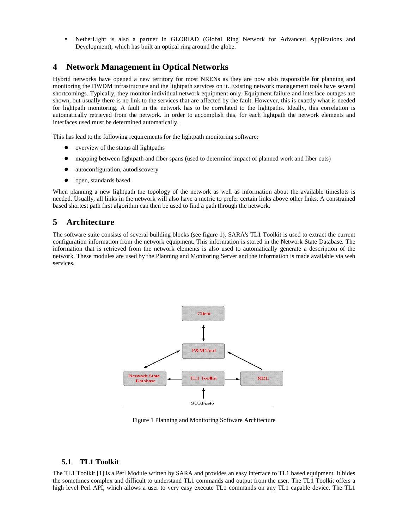• NetherLight is also a partner in GLORIAD (Global Ring Network for Advanced Applications and Development), which has built an optical ring around the globe.

## **4 Network Management in Optical Networks**

Hybrid networks have opened a new territory for most NRENs as they are now also responsible for planning and monitoring the DWDM infrastructure and the lightpath services on it. Existing network management tools have several shortcomings. Typically, they monitor individual network equipment only. Equipment failure and interface outages are shown, but usually there is no link to the services that are affected by the fault. However, this is exactly what is needed for lightpath monitoring. A fault in the network has to be correlated to the lightpaths. Ideally, this correlation is automatically retrieved from the network. In order to accomplish this, for each lightpath the network elements and interfaces used must be determined automatically.

This has lead to the following requirements for the lightpath monitoring software:

- overview of the status all lightpaths
- mapping between lightpath and fiber spans (used to determine impact of planned work and fiber cuts)
- autoconfiguration, autodiscovery
- open, standards based

When planning a new lightpath the topology of the network as well as information about the available timeslots is needed. Usually, all links in the network will also have a metric to prefer certain links above other links. A constrained based shortest path first algorithm can then be used to find a path through the network.

## **5 Architecture**

The software suite consists of several building blocks (see figure 1). SARA's TL1 Toolkit is used to extract the current configuration information from the network equipment. This information is stored in the Network State Database. The information that is retrieved from the network elements is also used to automatically generate a description of the network. These modules are used by the Planning and Monitoring Server and the information is made available via web services.



Figure 1 Planning and Monitoring Software Architecture

#### **5.1 TL1 Toolkit**

The TL1 Toolkit [1] is a Perl Module written by SARA and provides an easy interface to TL1 based equipment. It hides the sometimes complex and difficult to understand TL1 commands and output from the user. The TL1 Toolkit offers a high level Perl API, which allows a user to very easy execute TL1 commands on any TL1 capable device. The TL1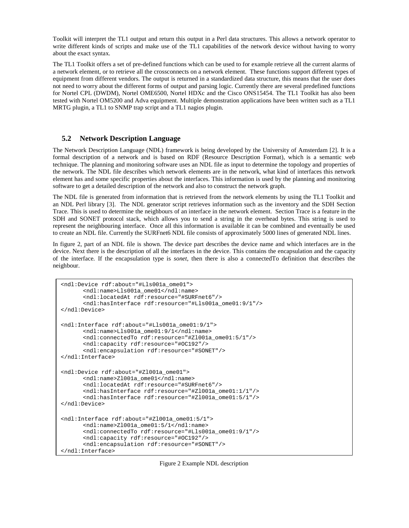Toolkit will interpret the TL1 output and return this output in a Perl data structures. This allows a network operator to write different kinds of scripts and make use of the TL1 capabilities of the network device without having to worry about the exact syntax.

The TL1 Toolkit offers a set of pre-defined functions which can be used to for example retrieve all the current alarms of a network element, or to retrieve all the crossconnects on a network element. These functions support different types of equipment from different vendors. The output is returned in a standardized data structure, this means that the user does not need to worry about the different forms of output and parsing logic. Currently there are several predefined functions for Nortel CPL (DWDM), Nortel OME6500, Nortel HDXc and the Cisco ONS15454. The TL1 Toolkit has also been tested with Nortel OM5200 and Adva equipment. Multiple demonstration applications have been written such as a TL1 MRTG plugin, a TL1 to SNMP trap script and a TL1 nagios plugin.

#### **5.2 Network Description Language**

The Network Description Language (NDL) framework is being developed by the University of Amsterdam [2]. It is a formal description of a network and is based on RDF (Resource Description Format), which is a semantic web technique. The planning and monitoring software uses an NDL file as input to determine the topology and properties of the network. The NDL file describes which network elements are in the network, what kind of interfaces this network element has and some specific properties about the interfaces. This information is used by the planning and monitoring software to get a detailed description of the network and also to construct the network graph.

The NDL file is generated from information that is retrieved from the network elements by using the TL1 Toolkit and an NDL Perl library [3]. The NDL generator script retrieves information such as the inventory and the SDH Section Trace. This is used to determine the neighbours of an interface in the network element. Section Trace is a feature in the SDH and SONET protocol stack, which allows you to send a string in the overhead bytes. This string is used to represent the neighbouring interface. Once all this information is available it can be combined and eventually be used to create an NDL file. Currently the SURFnet6 NDL file consists of approximately 5000 lines of generated NDL lines.

In figure 2, part of an NDL file is shown. The device part describes the device name and which interfaces are in the device. Next there is the description of all the interfaces in the device. This contains the encapsulation and the capacity of the interface. If the encapsulation type is *sonet*, then there is also a connectedTo definition that describes the neighbour.

```
<ndl:Device rdf:about="#Lls001a_ome01"> 
      <ndl:name>Lls001a_ome01</ndl:name> 
      <ndl:locatedAt rdf:resource="#SURFnet6"/> 
      <ndl:hasInterface rdf:resource="#Lls001a_ome01:9/1"/> 
</ndl:Device> 
<ndl:Interface rdf:about="#Lls001a_ome01:9/1"> 
      <ndl:name>Lls001a_ome01:9/1</ndl:name> 
      <ndl:connectedTo rdf:resource="#Zl001a_ome01:5/1"/>
      <ndl:capacity rdf:resource="#OC192"/> 
      <ndl:encapsulation rdf:resource="#SONET"/> 
</ndl:Interface> 
<ndl:Device rdf:about="#Zl001a_ome01"> 
      <ndl:name>Zl001a_ome01</ndl:name> 
      <ndl:locatedAt rdf:resource="#SURFnet6"/> 
       <ndl:hasInterface rdf:resource="#Zl001a_ome01:1/1"/> 
      <ndl:hasInterface rdf:resource="#Zl001a_ome01:5/1"/> 
</ndl:Device> 
<ndl:Interface rdf:about="#Zl001a_ome01:5/1"> 
      <ndl:name>Zl001a_ome01:5/1</ndl:name> 
      <ndl:connectedTo rdf:resource="#Lls001a_ome01:9/1"/> 
       <ndl:capacity rdf:resource="#OC192"/> 
      <ndl:encapsulation rdf:resource="#SONET"/> 
</ndl:Interface>
```
Figure 2 Example NDL description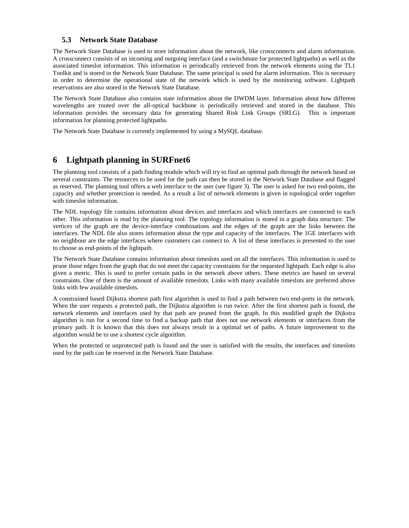#### **5.3 Network State Database**

The Network State Database is used to store information about the network, like crossconnects and alarm information. A crossconnect consists of an incoming and outgoing interface (and a switchmate for protected lightpaths) as well as the associated timeslot information. This information is periodically retrieved from the network elements using the TL1 Toolkit and is stored in the Network State Database. The same principal is used for alarm information. This is necessary in order to determine the operational state of the network which is used by the monitoring software. Lightpath reservations are also stored in the Network State Database.

The Network State Database also contains state information about the DWDM layer. Information about how different wavelengths are routed over the all-optical backbone is periodically retrieved and stored in the database. This information provides the necessary data for generating Shared Risk Link Groups (SRLG). This is important information for planning protected lightpaths.

The Network State Database is currently implemented by using a MySQL database.

## **6 Lightpath planning in SURFnet6**

The planning tool consists of a path finding module which will try to find an optimal path through the network based on several constraints. The resources to be used for the path can then be stored in the Network State Database and flagged as reserved. The planning tool offers a web interface to the user (see figure 3). The user is asked for two end-points, the capacity and whether protection is needed. As a result a list of network elements is given in topological order together with timeslot information.

The NDL topology file contains information about devices and interfaces and which interfaces are connected to each other. This information is read by the planning tool. The topology information is stored in a graph data structure. The vertices of the graph are the device-interface combinations and the edges of the graph are the links between the interfaces. The NDL file also stores information about the type and capacity of the interfaces. The 1GE interfaces with no neighbour are the edge interfaces where customers can connect to. A list of these interfaces is presented to the user to choose as end-points of the lightpath.

The Network State Database contains information about timeslots used on all the interfaces. This information is used to prune those edges from the graph that do not meet the capacity constraints for the requested lightpath. Each edge is also given a metric. This is used to prefer certain paths in the network above others. These metrics are based on several constraints. One of them is the amount of available timeslots. Links with many available timeslots are preferred above links with few available timeslots.

A constrained based Dijkstra shortest path first algorithm is used to find a path between two end-ports in the network. When the user requests a protected path, the Dijkstra algorithm is run twice. After the first shortest path is found, the network elements and interfaces used by that path are pruned from the graph. In this modified graph the Dijkstra algorithm is run for a second time to find a backup path that does not use network elements or interfaces from the primary path. It is known that this does not always result in a optimal set of paths. A future improvement to the algorithm would be to use a shortest cycle algorithm.

When the protected or unprotected path is found and the user is satisfied with the results, the interfaces and timeslots used by the path can be reserved in the Network State Database.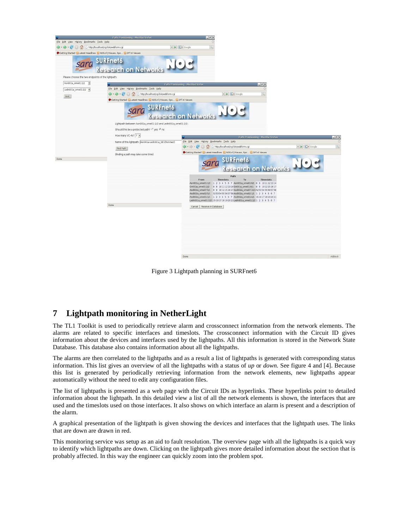

Figure 3 Lightpath planning in SURFnet6

## **7 Lightpath monitoring in NetherLight**

The TL1 Toolkit is used to periodically retrieve alarm and crossconnect information from the network elements. The alarms are related to specific interfaces and timeslots. The crossconnect information with the Circuit ID gives information about the devices and interfaces used by the lightpaths. All this information is stored in the Network State Database. This database also contains information about all the lightpaths.

The alarms are then correlated to the lightpaths and as a result a list of lightpaths is generated with corresponding status information. This list gives an overview of all the lightpaths with a status of *up* or *down*. See figure 4 and [4]. Because this list is generated by periodically retrieving information from the network elements, new lightpaths appear automatically without the need to edit any configuration files.

The list of lightpaths is presented as a web page with the Circuit IDs as hyperlinks. These hyperlinks point to detailed information about the lightpath. In this detailed view a list of all the network elements is shown, the interfaces that are used and the timeslots used on those interfaces. It also shows on which interface an alarm is present and a description of the alarm.

A graphical presentation of the lightpath is given showing the devices and interfaces that the lightpath uses. The links that are down are drawn in red.

This monitoring service was setup as an aid to fault resolution. The overview page with all the lightpaths is a quick way to identify which lightpaths are down. Clicking on the lightpath gives more detailed information about the section that is probably affected. In this way the engineer can quickly zoom into the problem spot.